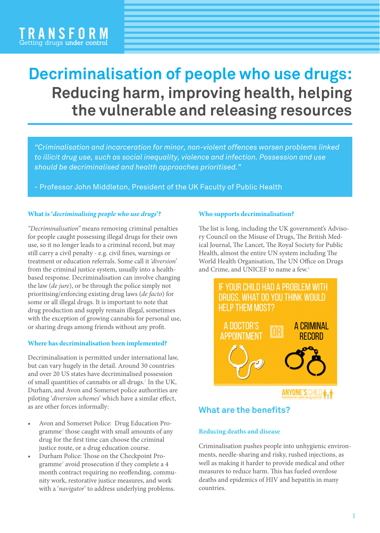# **Decriminalisation of people who use drugs: Reducing harm, improving health, helping the vulnerable and releasing resources**

*"Criminalisation and incarceration for minor, non-violent offences worsen problems linked to illicit drug use, such as social inequality, violence and infection. Possession and use should be decriminalised and health approaches prioritised."*

- Professor John Middleton, President of the UK Faculty of Public Health

### **What is '***decriminalising people who use drugs***'?**

*"Decriminalisation"* means removing criminal penalties for people caught possessing illegal drugs for their own use, so it no longer leads to a criminal record, but may still carry a civil penalty - e.g. civil fines, warnings or treatment or education referrals. Some call it *'diversion'* from the criminal justice system, usually into a healthbased response. Decriminalisation can involve changing the law (*de jure*), or be through the police simply not prioritising/enforcing existing drug laws (*de facto*) for some or all illegal drugs. It is important to note that drug production and supply remain illegal, sometimes with the exception of growing cannabis for personal use, or sharing drugs among friends without any profit.

# **Where has decriminalisation been implemented?**

Decriminalisation is permitted under international law, but can vary hugely in the detail. Around 30 countries and over 20 US states have decriminalised possession of small quantities of cannabis or all drugs.<sup>1</sup> In the UK, Durham, and Avon and Somerset police authorities are piloting '*diversion schemes*' which have a similar effect, as are other forces informally:

- Avon and Somerset Police: Drug Education Programme2 those caught with small amounts of any drug for the first time can choose the criminal justice route, or a drug education course.
- Durham Police: Those on the Checkpoint Programme<sup>3</sup> avoid prosecution if they complete a 4 month contract requiring no reoffending, community work, restorative justice measures, and work with a '*navigator*' to address underlying problems.

# **Who supports decriminalisation?**

The list is long, including the UK government's Advisory Council on the Misuse of Drugs, The British Medical Journal, The Lancet, The Royal Society for Public Health, almost the entire UN system including The World Health Organisation, The UN Office on Drugs and Crime, and UNICEF to name a few.4



# **What are the benefits?**

# **Reducing deaths and disease**

Criminalisation pushes people into unhygienic environments, needle-sharing and risky, rushed injections, as well as making it harder to provide medical and other measures to reduce harm. This has fueled overdose deaths and epidemics of HIV and hepatitis in many countries.